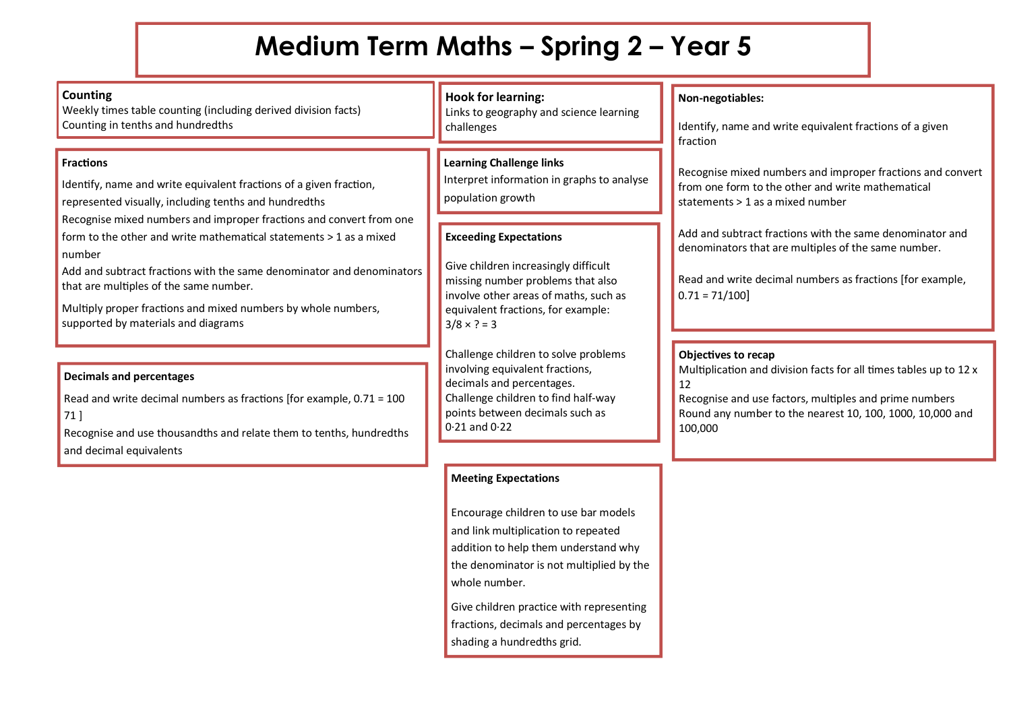## **Medium Term Maths – Spring 2 – Year 5**

| <b>Counting</b><br>Weekly times table counting (including derived division facts)<br>Counting in tenths and hundredths                                                                                                                                                                                                                                                         | <b>Hook for learning:</b><br>Links to geography and science learning<br>challenges                                                                                                                              | Non-negotiables:<br>Identify, name and write equivalent fractions of a given<br>fraction                                                                                                                                         |
|--------------------------------------------------------------------------------------------------------------------------------------------------------------------------------------------------------------------------------------------------------------------------------------------------------------------------------------------------------------------------------|-----------------------------------------------------------------------------------------------------------------------------------------------------------------------------------------------------------------|----------------------------------------------------------------------------------------------------------------------------------------------------------------------------------------------------------------------------------|
| <b>Fractions</b><br>Identify, name and write equivalent fractions of a given fraction,<br>represented visually, including tenths and hundredths                                                                                                                                                                                                                                | <b>Learning Challenge links</b><br>Interpret information in graphs to analyse<br>population growth                                                                                                              | Recognise mixed numbers and improper fractions and convert<br>from one form to the other and write mathematical<br>statements > 1 as a mixed number                                                                              |
| Recognise mixed numbers and improper fractions and convert from one<br>form to the other and write mathematical statements > 1 as a mixed<br>number<br>Add and subtract fractions with the same denominator and denominators<br>that are multiples of the same number.<br>Multiply proper fractions and mixed numbers by whole numbers,<br>supported by materials and diagrams | <b>Exceeding Expectations</b><br>Give children increasingly difficult<br>missing number problems that also<br>involve other areas of maths, such as<br>equivalent fractions, for example:<br>$3/8 \times ? = 3$ | Add and subtract fractions with the same denominator and<br>denominators that are multiples of the same number.<br>Read and write decimal numbers as fractions [for example,<br>$0.71 = 71/100$                                  |
| <b>Decimals and percentages</b><br>Read and write decimal numbers as fractions [for example, $0.71 = 100$<br>$71$ ]<br>Recognise and use thousandths and relate them to tenths, hundredths<br>and decimal equivalents                                                                                                                                                          | Challenge children to solve problems<br>involving equivalent fractions,<br>decimals and percentages.<br>Challenge children to find half-way<br>points between decimals such as<br>$0.21$ and $0.22$             | Objectives to recap<br>Multiplication and division facts for all times tables up to 12 x<br>12<br>Recognise and use factors, multiples and prime numbers<br>Round any number to the nearest 10, 100, 1000, 10,000 and<br>100,000 |
|                                                                                                                                                                                                                                                                                                                                                                                | <b>Meeting Expectations</b>                                                                                                                                                                                     |                                                                                                                                                                                                                                  |

Encourage children to use bar models and link multiplication to repeated addition to help them understand why the denominator is not multiplied by the whole number.

**Give children practice with representing** fractions, decimals and percentages by shading a hundredths grid.